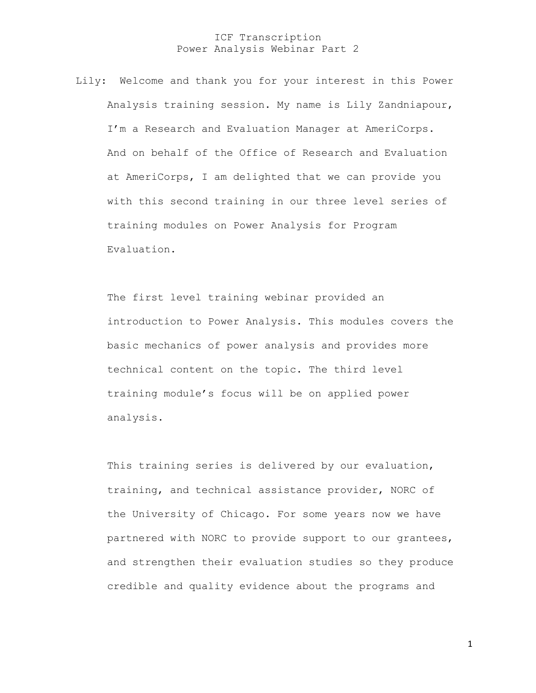Lily: Welcome and thank you for your interest in this Power Analysis training session. My name is Lily Zandniapour, I'm a Research and Evaluation Manager at AmeriCorps. And on behalf of the Office of Research and Evaluation at AmeriCorps, I am delighted that we can provide you with this second training in our three level series of training modules on Power Analysis for Program Evaluation.

The first level training webinar provided an introduction to Power Analysis. This modules covers the basic mechanics of power analysis and provides more technical content on the topic. The third level training module's focus will be on applied power analysis.

This training series is delivered by our evaluation, training, and technical assistance provider, NORC of the University of Chicago. For some years now we have partnered with NORC to provide support to our grantees, and strengthen their evaluation studies so they produce credible and quality evidence about the programs and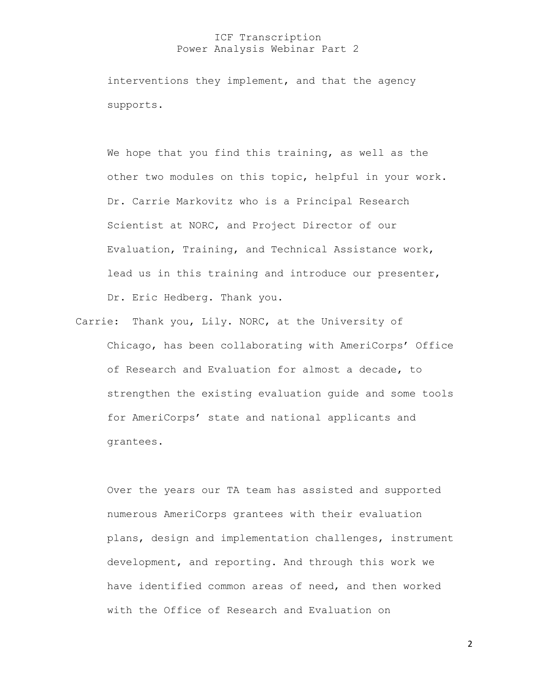interventions they implement, and that the agency supports.

We hope that you find this training, as well as the other two modules on this topic, helpful in your work. Dr. Carrie Markovitz who is a Principal Research Scientist at NORC, and Project Director of our Evaluation, Training, and Technical Assistance work, lead us in this training and introduce our presenter, Dr. Eric Hedberg. Thank you.

Carrie: Thank you, Lily. NORC, at the University of Chicago, has been collaborating with AmeriCorps' Office of Research and Evaluation for almost a decade, to strengthen the existing evaluation guide and some tools for AmeriCorps' state and national applicants and grantees.

Over the years our TA team has assisted and supported numerous AmeriCorps grantees with their evaluation plans, design and implementation challenges, instrument development, and reporting. And through this work we have identified common areas of need, and then worked with the Office of Research and Evaluation on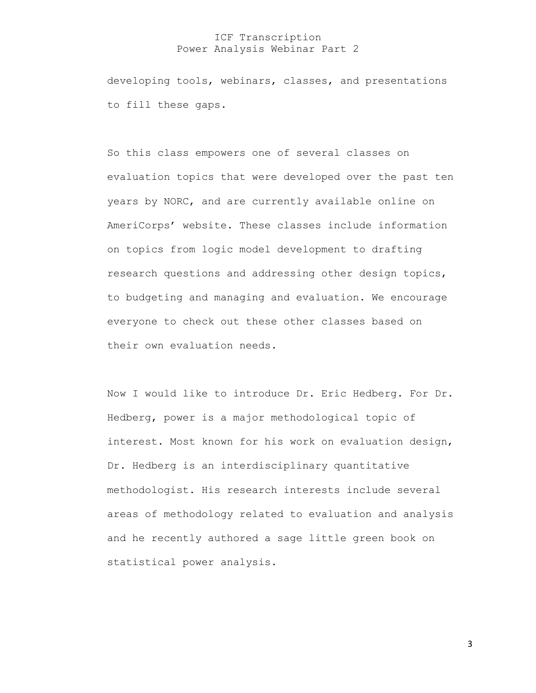developing tools, webinars, classes, and presentations to fill these gaps.

So this class empowers one of several classes on evaluation topics that were developed over the past ten years by NORC, and are currently available online on AmeriCorps' website. These classes include information on topics from logic model development to drafting research questions and addressing other design topics, to budgeting and managing and evaluation. We encourage everyone to check out these other classes based on their own evaluation needs.

Now I would like to introduce Dr. Eric Hedberg. For Dr. Hedberg, power is a major methodological topic of interest. Most known for his work on evaluation design, Dr. Hedberg is an interdisciplinary quantitative methodologist. His research interests include several areas of methodology related to evaluation and analysis and he recently authored a sage little green book on statistical power analysis.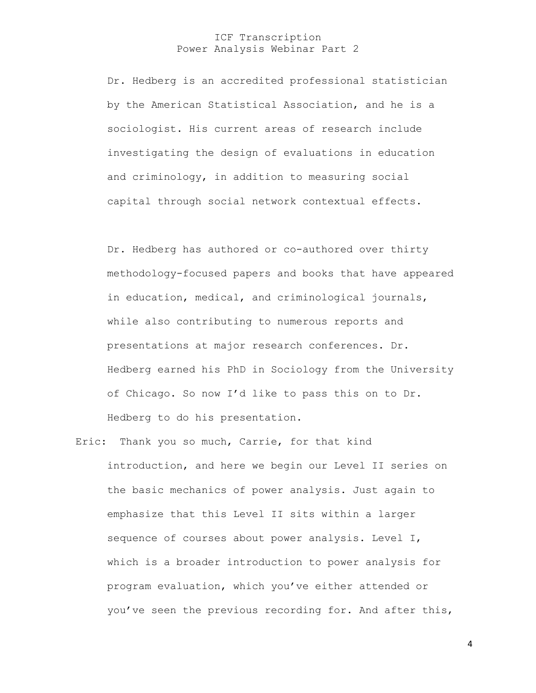Dr. Hedberg is an accredited professional statistician by the American Statistical Association, and he is a sociologist. His current areas of research include investigating the design of evaluations in education and criminology, in addition to measuring social capital through social network contextual effects.

Dr. Hedberg has authored or co-authored over thirty methodology-focused papers and books that have appeared in education, medical, and criminological journals, while also contributing to numerous reports and presentations at major research conferences. Dr. Hedberg earned his PhD in Sociology from the University of Chicago. So now I'd like to pass this on to Dr. Hedberg to do his presentation.

Eric: Thank you so much, Carrie, for that kind introduction, and here we begin our Level II series on the basic mechanics of power analysis. Just again to emphasize that this Level II sits within a larger sequence of courses about power analysis. Level I, which is a broader introduction to power analysis for program evaluation, which you've either attended or you've seen the previous recording for. And after this,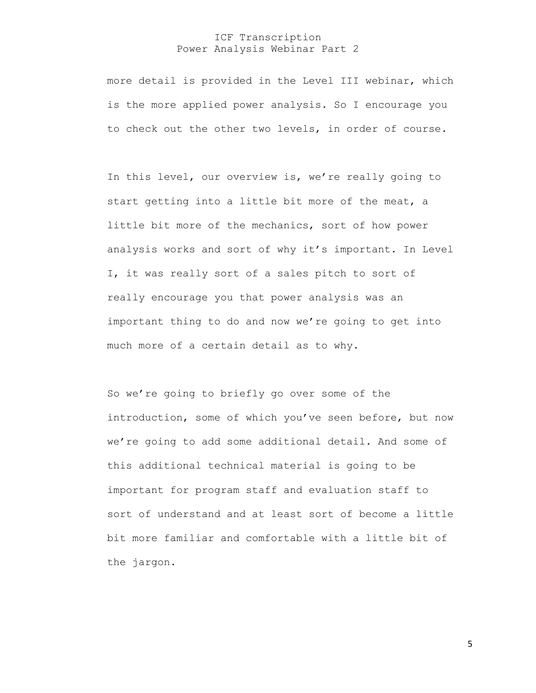more detail is provided in the Level III webinar, which is the more applied power analysis. So I encourage you to check out the other two levels, in order of course.

 In this level, our overview is, we're really going to start getting into a little bit more of the meat, a little bit more of the mechanics, sort of how power analysis works and sort of why it's important. In Level I, it was really sort of a sales pitch to sort of really encourage you that power analysis was an important thing to do and now we're going to get into much more of a certain detail as to why.

So we're going to briefly go over some of the introduction, some of which you've seen before, but now we're going to add some additional detail. And some of this additional technical material is going to be important for program staff and evaluation staff to sort of understand and at least sort of become a little bit more familiar and comfortable with a little bit of the jargon.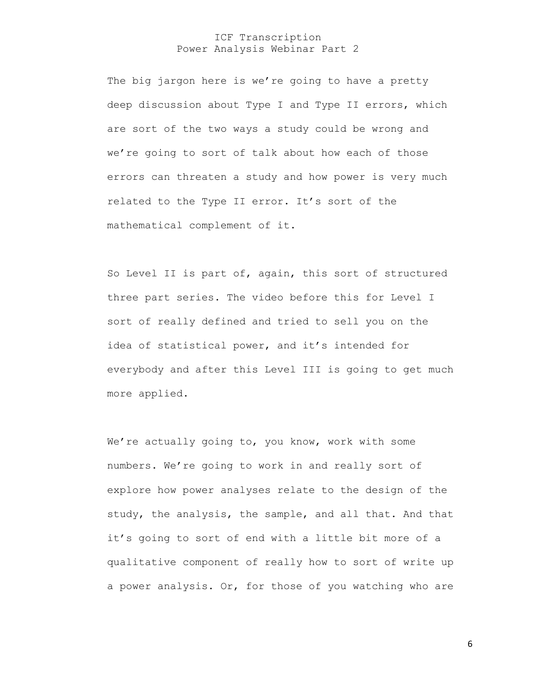The big jargon here is we're going to have a pretty deep discussion about Type I and Type II errors, which are sort of the two ways a study could be wrong and we're going to sort of talk about how each of those errors can threaten a study and how power is very much related to the Type II error. It's sort of the mathematical complement of it.

So Level II is part of, again, this sort of structured three part series. The video before this for Level I sort of really defined and tried to sell you on the idea of statistical power, and it's intended for everybody and after this Level III is going to get much more applied.

We're actually going to, you know, work with some numbers. We're going to work in and really sort of explore how power analyses relate to the design of the study, the analysis, the sample, and all that. And that it's going to sort of end with a little bit more of a qualitative component of really how to sort of write up a power analysis. Or, for those of you watching who are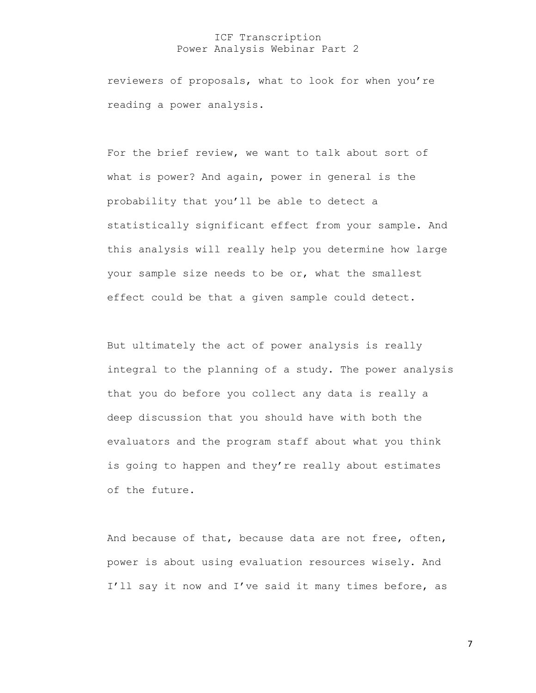reviewers of proposals, what to look for when you're reading a power analysis.

For the brief review, we want to talk about sort of what is power? And again, power in general is the probability that you'll be able to detect a statistically significant effect from your sample. And this analysis will really help you determine how large your sample size needs to be or, what the smallest effect could be that a given sample could detect.

But ultimately the act of power analysis is really integral to the planning of a study. The power analysis that you do before you collect any data is really a deep discussion that you should have with both the evaluators and the program staff about what you think is going to happen and they're really about estimates of the future.

And because of that, because data are not free, often, power is about using evaluation resources wisely. And I'll say it now and I've said it many times before, as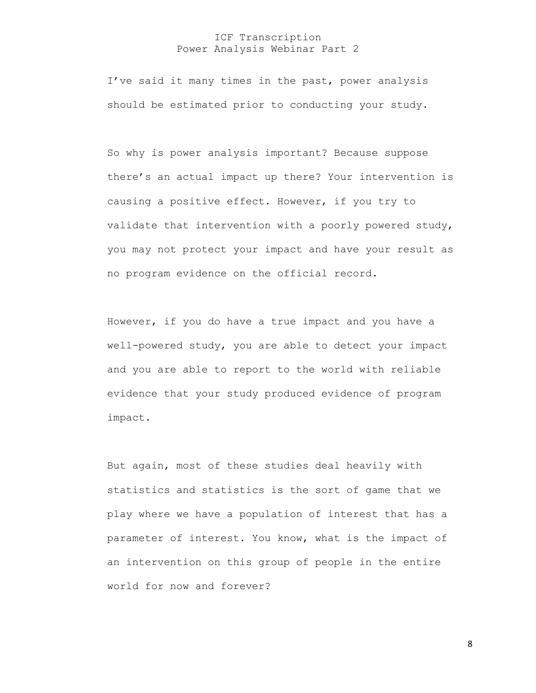I've said it many times in the past, power analysis should be estimated prior to conducting your study.

So why is power analysis important? Because suppose there's an actual impact up there? Your intervention is causing a positive effect. However, if you try to validate that intervention with a poorly powered study, you may not protect your impact and have your result as no program evidence on the official record.

However, if you do have a true impact and you have a well-powered study, you are able to detect your impact and you are able to report to the world with reliable evidence that your study produced evidence of program impact.

But again, most of these studies deal heavily with statistics and statistics is the sort of game that we play where we have a population of interest that has a parameter of interest. You know, what is the impact of an intervention on this group of people in the entire world for now and forever?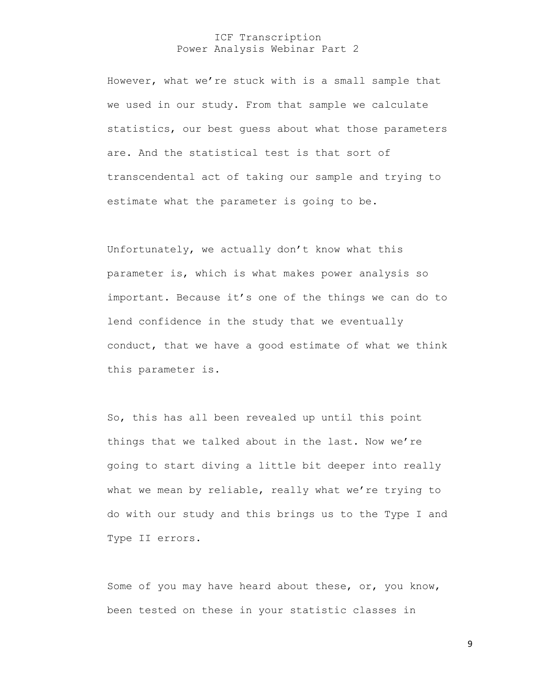However, what we're stuck with is a small sample that we used in our study. From that sample we calculate statistics, our best guess about what those parameters are. And the statistical test is that sort of transcendental act of taking our sample and trying to estimate what the parameter is going to be.

Unfortunately, we actually don't know what this parameter is, which is what makes power analysis so important. Because it's one of the things we can do to lend confidence in the study that we eventually conduct, that we have a good estimate of what we think this parameter is.

So, this has all been revealed up until this point things that we talked about in the last. Now we're going to start diving a little bit deeper into really what we mean by reliable, really what we're trying to do with our study and this brings us to the Type I and Type II errors.

Some of you may have heard about these, or, you know, been tested on these in your statistic classes in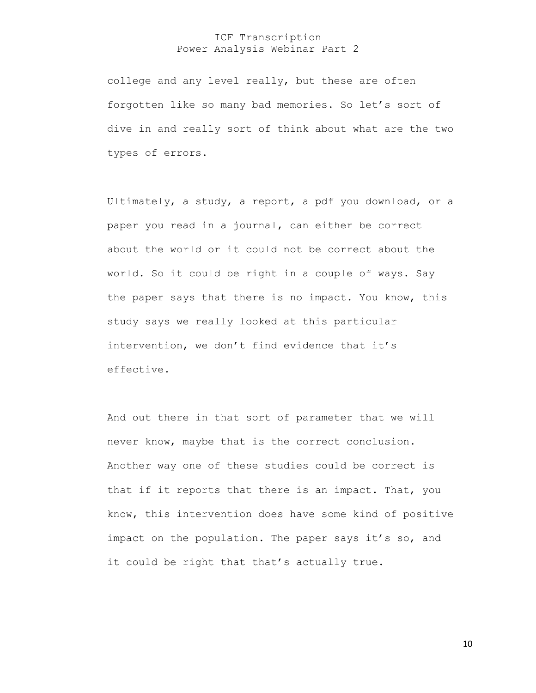college and any level really, but these are often forgotten like so many bad memories. So let's sort of dive in and really sort of think about what are the two types of errors.

Ultimately, a study, a report, a pdf you download, or a paper you read in a journal, can either be correct about the world or it could not be correct about the world. So it could be right in a couple of ways. Say the paper says that there is no impact. You know, this study says we really looked at this particular intervention, we don't find evidence that it's effective.

And out there in that sort of parameter that we will never know, maybe that is the correct conclusion. Another way one of these studies could be correct is that if it reports that there is an impact. That, you know, this intervention does have some kind of positive impact on the population. The paper says it's so, and it could be right that that's actually true.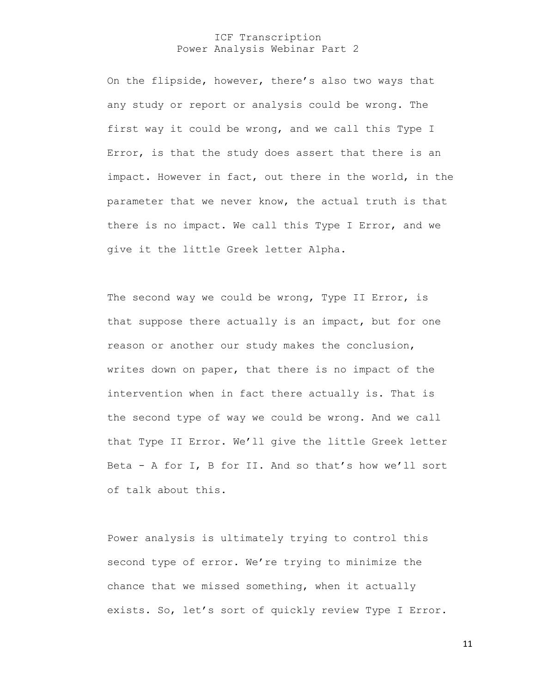On the flipside, however, there's also two ways that any study or report or analysis could be wrong. The first way it could be wrong, and we call this Type I Error, is that the study does assert that there is an impact. However in fact, out there in the world, in the parameter that we never know, the actual truth is that there is no impact. We call this Type I Error, and we give it the little Greek letter Alpha.

The second way we could be wrong, Type II Error, is that suppose there actually is an impact, but for one reason or another our study makes the conclusion, writes down on paper, that there is no impact of the intervention when in fact there actually is. That is the second type of way we could be wrong. And we call that Type II Error. We'll give the little Greek letter Beta - A for I, B for II. And so that's how we'll sort of talk about this.

Power analysis is ultimately trying to control this second type of error. We're trying to minimize the chance that we missed something, when it actually exists. So, let's sort of quickly review Type I Error.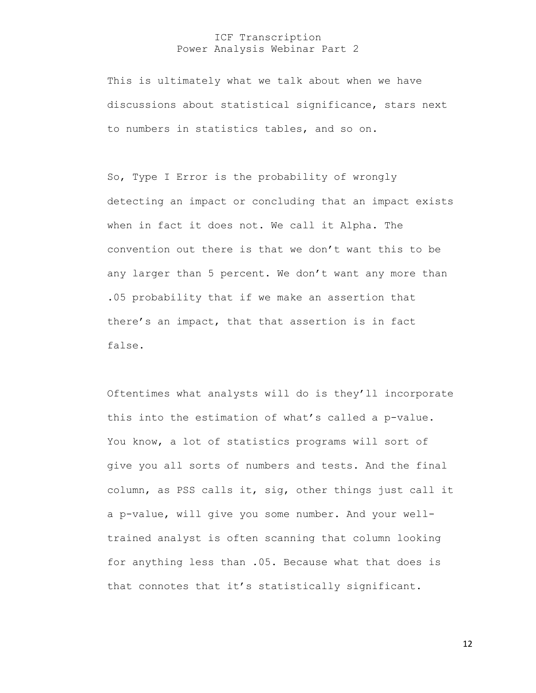This is ultimately what we talk about when we have discussions about statistical significance, stars next to numbers in statistics tables, and so on.

So, Type I Error is the probability of wrongly detecting an impact or concluding that an impact exists when in fact it does not. We call it Alpha. The convention out there is that we don't want this to be any larger than 5 percent. We don't want any more than .05 probability that if we make an assertion that there's an impact, that that assertion is in fact false.

Oftentimes what analysts will do is they'll incorporate this into the estimation of what's called a p-value. You know, a lot of statistics programs will sort of give you all sorts of numbers and tests. And the final column, as PSS calls it, sig, other things just call it a p-value, will give you some number. And your welltrained analyst is often scanning that column looking for anything less than .05. Because what that does is that connotes that it's statistically significant.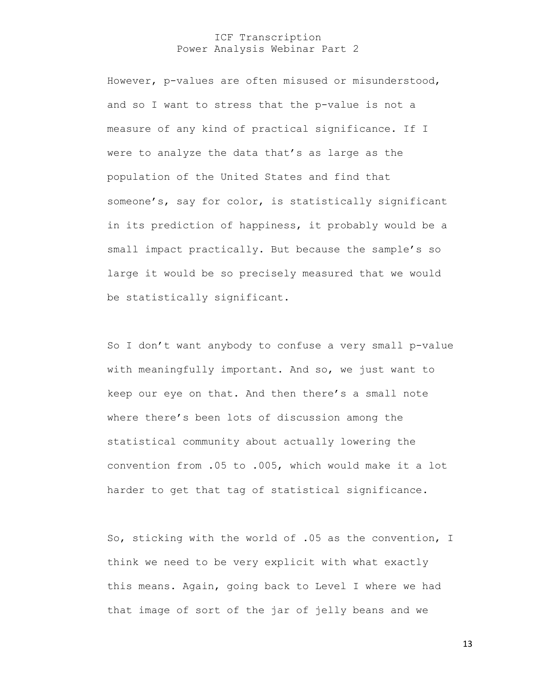However, p-values are often misused or misunderstood, and so I want to stress that the p-value is not a measure of any kind of practical significance. If I were to analyze the data that's as large as the population of the United States and find that someone's, say for color, is statistically significant in its prediction of happiness, it probably would be a small impact practically. But because the sample's so large it would be so precisely measured that we would be statistically significant.

So I don't want anybody to confuse a very small p-value with meaningfully important. And so, we just want to keep our eye on that. And then there's a small note where there's been lots of discussion among the statistical community about actually lowering the convention from .05 to .005, which would make it a lot harder to get that tag of statistical significance.

So, sticking with the world of .05 as the convention, I think we need to be very explicit with what exactly this means. Again, going back to Level I where we had that image of sort of the jar of jelly beans and we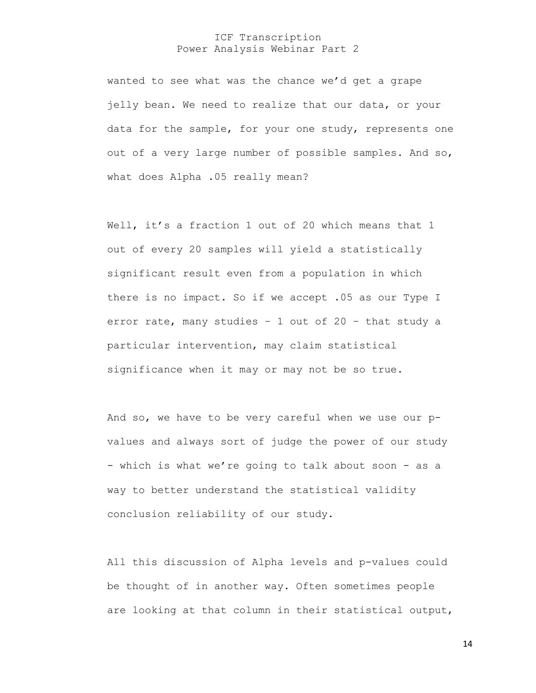wanted to see what was the chance we'd get a grape jelly bean. We need to realize that our data, or your data for the sample, for your one study, represents one out of a very large number of possible samples. And so, what does Alpha .05 really mean?

Well, it's a fraction 1 out of 20 which means that 1 out of every 20 samples will yield a statistically significant result even from a population in which there is no impact. So if we accept .05 as our Type I error rate, many studies – 1 out of 20 – that study a particular intervention, may claim statistical significance when it may or may not be so true.

And so, we have to be very careful when we use our pvalues and always sort of judge the power of our study - which is what we're going to talk about soon - as a way to better understand the statistical validity conclusion reliability of our study.

All this discussion of Alpha levels and p-values could be thought of in another way. Often sometimes people are looking at that column in their statistical output,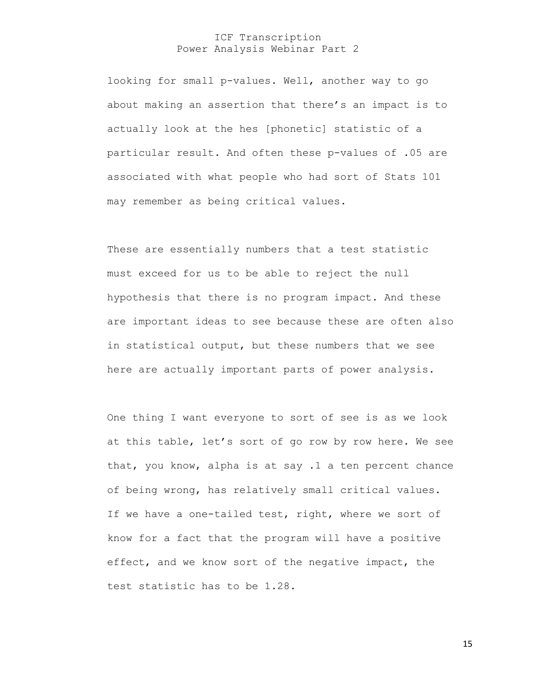looking for small p-values. Well, another way to go about making an assertion that there's an impact is to actually look at the hes [phonetic] statistic of a particular result. And often these p-values of .05 are associated with what people who had sort of Stats 101 may remember as being critical values.

These are essentially numbers that a test statistic must exceed for us to be able to reject the null hypothesis that there is no program impact. And these are important ideas to see because these are often also in statistical output, but these numbers that we see here are actually important parts of power analysis.

One thing I want everyone to sort of see is as we look at this table, let's sort of go row by row here. We see that, you know, alpha is at say .1 a ten percent chance of being wrong, has relatively small critical values. If we have a one-tailed test, right, where we sort of know for a fact that the program will have a positive effect, and we know sort of the negative impact, the test statistic has to be 1.28.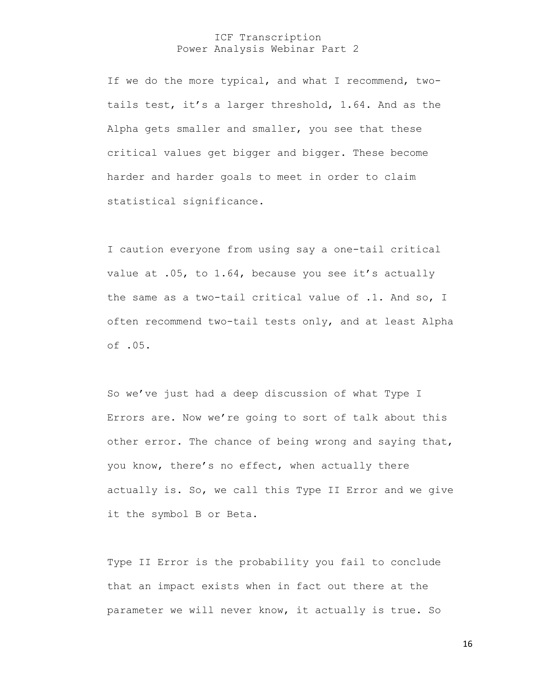If we do the more typical, and what I recommend, twotails test, it's a larger threshold, 1.64. And as the Alpha gets smaller and smaller, you see that these critical values get bigger and bigger. These become harder and harder goals to meet in order to claim statistical significance.

I caution everyone from using say a one-tail critical value at .05, to 1.64, because you see it's actually the same as a two-tail critical value of .1. And so, I often recommend two-tail tests only, and at least Alpha of .05.

So we've just had a deep discussion of what Type I Errors are. Now we're going to sort of talk about this other error. The chance of being wrong and saying that, you know, there's no effect, when actually there actually is. So, we call this Type II Error and we give it the symbol B or Beta.

Type II Error is the probability you fail to conclude that an impact exists when in fact out there at the parameter we will never know, it actually is true. So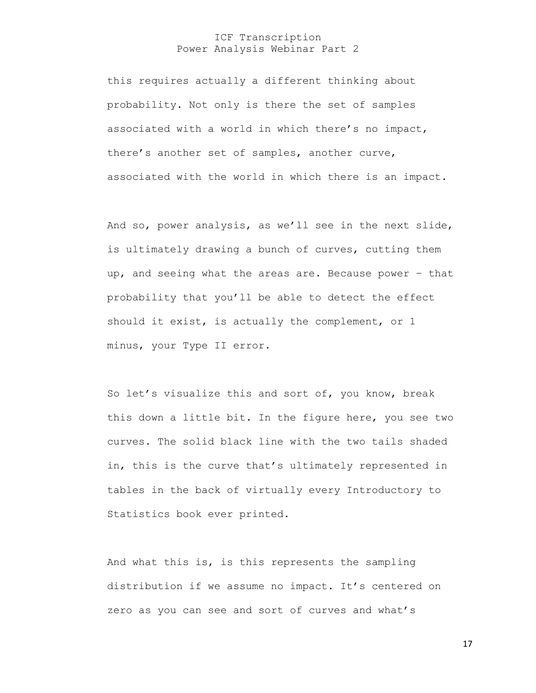this requires actually a different thinking about probability. Not only is there the set of samples associated with a world in which there's no impact, there's another set of samples, another curve, associated with the world in which there is an impact.

And so, power analysis, as we'll see in the next slide, is ultimately drawing a bunch of curves, cutting them up, and seeing what the areas are. Because power – that probability that you'll be able to detect the effect should it exist, is actually the complement, or 1 minus, your Type II error.

So let's visualize this and sort of, you know, break this down a little bit. In the figure here, you see two curves. The solid black line with the two tails shaded in, this is the curve that's ultimately represented in tables in the back of virtually every Introductory to Statistics book ever printed.

And what this is, is this represents the sampling distribution if we assume no impact. It's centered on zero as you can see and sort of curves and what's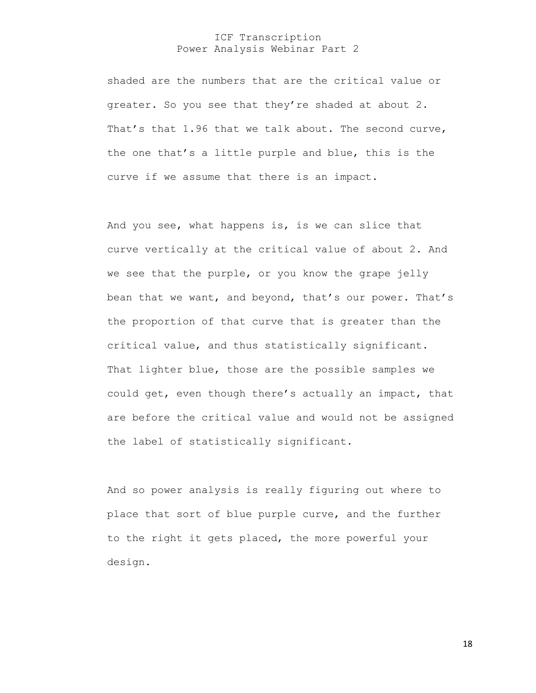shaded are the numbers that are the critical value or greater. So you see that they're shaded at about 2. That's that 1.96 that we talk about. The second curve, the one that's a little purple and blue, this is the curve if we assume that there is an impact.

And you see, what happens is, is we can slice that curve vertically at the critical value of about 2. And we see that the purple, or you know the grape jelly bean that we want, and beyond, that's our power. That's the proportion of that curve that is greater than the critical value, and thus statistically significant. That lighter blue, those are the possible samples we could get, even though there's actually an impact, that are before the critical value and would not be assigned the label of statistically significant.

And so power analysis is really figuring out where to place that sort of blue purple curve, and the further to the right it gets placed, the more powerful your design.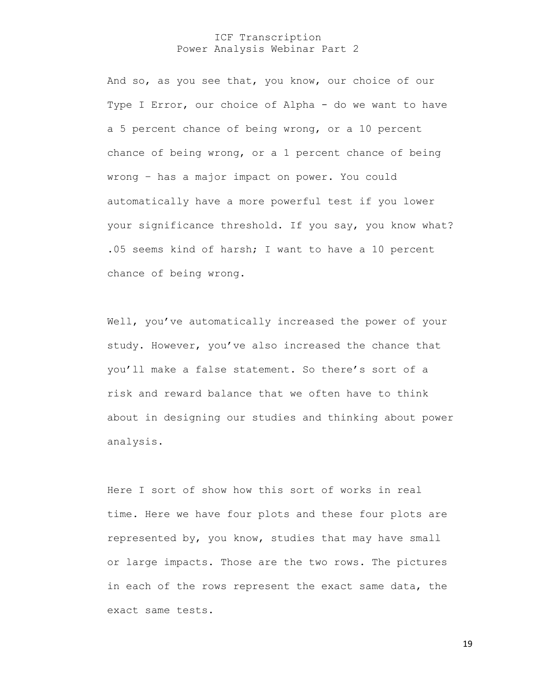And so, as you see that, you know, our choice of our Type I Error, our choice of Alpha - do we want to have a 5 percent chance of being wrong, or a 10 percent chance of being wrong, or a 1 percent chance of being wrong – has a major impact on power. You could automatically have a more powerful test if you lower your significance threshold. If you say, you know what? .05 seems kind of harsh; I want to have a 10 percent chance of being wrong.

Well, you've automatically increased the power of your study. However, you've also increased the chance that you'll make a false statement. So there's sort of a risk and reward balance that we often have to think about in designing our studies and thinking about power analysis.

Here I sort of show how this sort of works in real time. Here we have four plots and these four plots are represented by, you know, studies that may have small or large impacts. Those are the two rows. The pictures in each of the rows represent the exact same data, the exact same tests.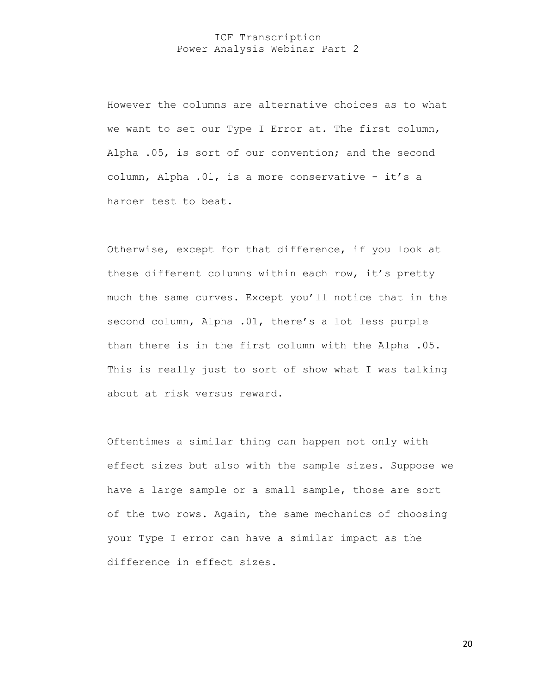However the columns are alternative choices as to what we want to set our Type I Error at. The first column, Alpha .05, is sort of our convention; and the second column, Alpha .01, is a more conservative - it's a harder test to beat.

Otherwise, except for that difference, if you look at these different columns within each row, it's pretty much the same curves. Except you'll notice that in the second column, Alpha .01, there's a lot less purple than there is in the first column with the Alpha .05. This is really just to sort of show what I was talking about at risk versus reward.

Oftentimes a similar thing can happen not only with effect sizes but also with the sample sizes. Suppose we have a large sample or a small sample, those are sort of the two rows. Again, the same mechanics of choosing your Type I error can have a similar impact as the difference in effect sizes.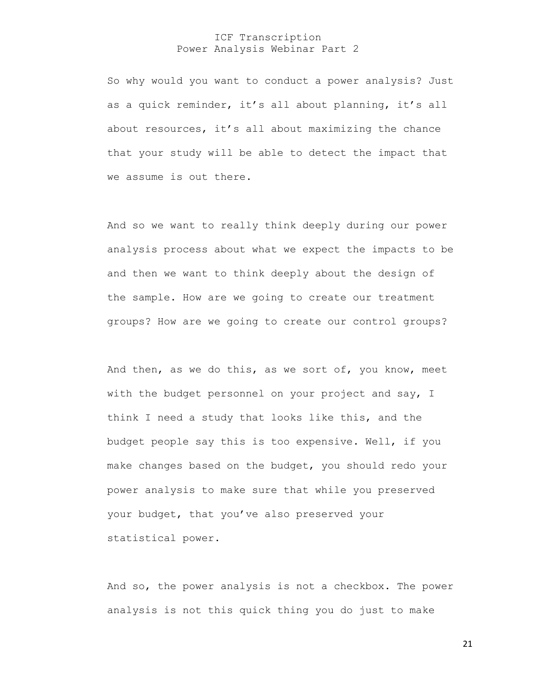So why would you want to conduct a power analysis? Just as a quick reminder, it's all about planning, it's all about resources, it's all about maximizing the chance that your study will be able to detect the impact that we assume is out there.

And so we want to really think deeply during our power analysis process about what we expect the impacts to be and then we want to think deeply about the design of the sample. How are we going to create our treatment groups? How are we going to create our control groups?

And then, as we do this, as we sort of, you know, meet with the budget personnel on your project and say, I think I need a study that looks like this, and the budget people say this is too expensive. Well, if you make changes based on the budget, you should redo your power analysis to make sure that while you preserved your budget, that you've also preserved your statistical power.

And so, the power analysis is not a checkbox. The power analysis is not this quick thing you do just to make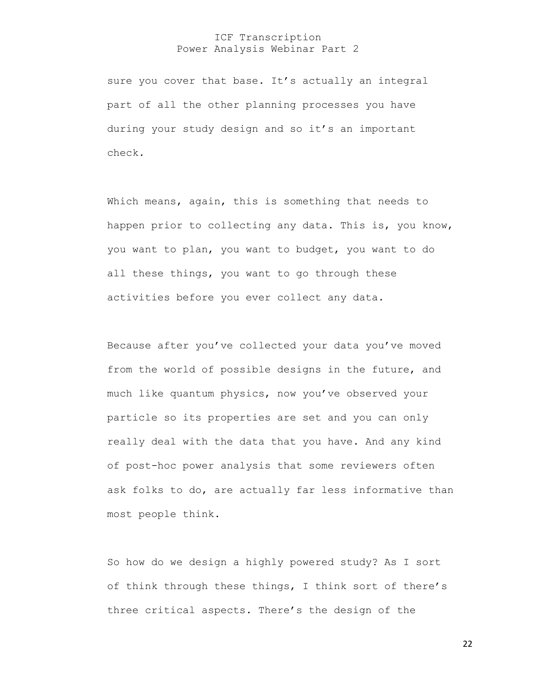sure you cover that base. It's actually an integral part of all the other planning processes you have during your study design and so it's an important check.

Which means, again, this is something that needs to happen prior to collecting any data. This is, you know, you want to plan, you want to budget, you want to do all these things, you want to go through these activities before you ever collect any data.

Because after you've collected your data you've moved from the world of possible designs in the future, and much like quantum physics, now you've observed your particle so its properties are set and you can only really deal with the data that you have. And any kind of post-hoc power analysis that some reviewers often ask folks to do, are actually far less informative than most people think.

So how do we design a highly powered study? As I sort of think through these things, I think sort of there's three critical aspects. There's the design of the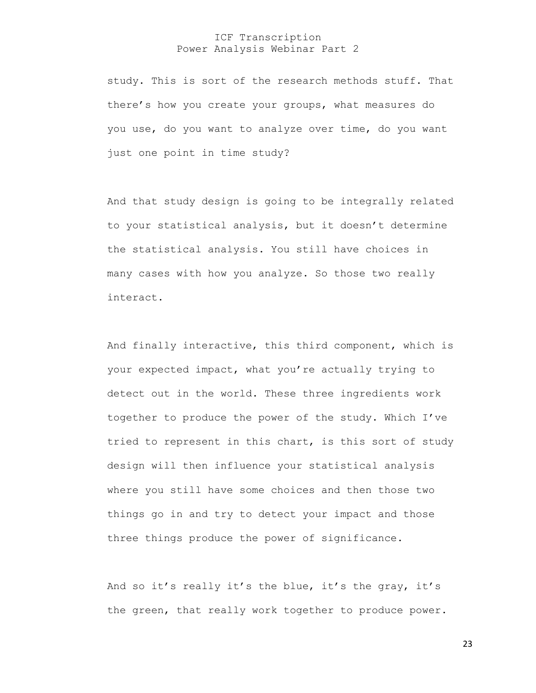study. This is sort of the research methods stuff. That there's how you create your groups, what measures do you use, do you want to analyze over time, do you want just one point in time study?

And that study design is going to be integrally related to your statistical analysis, but it doesn't determine the statistical analysis. You still have choices in many cases with how you analyze. So those two really interact.

And finally interactive, this third component, which is your expected impact, what you're actually trying to detect out in the world. These three ingredients work together to produce the power of the study. Which I've tried to represent in this chart, is this sort of study design will then influence your statistical analysis where you still have some choices and then those two things go in and try to detect your impact and those three things produce the power of significance.

And so it's really it's the blue, it's the gray, it's the green, that really work together to produce power.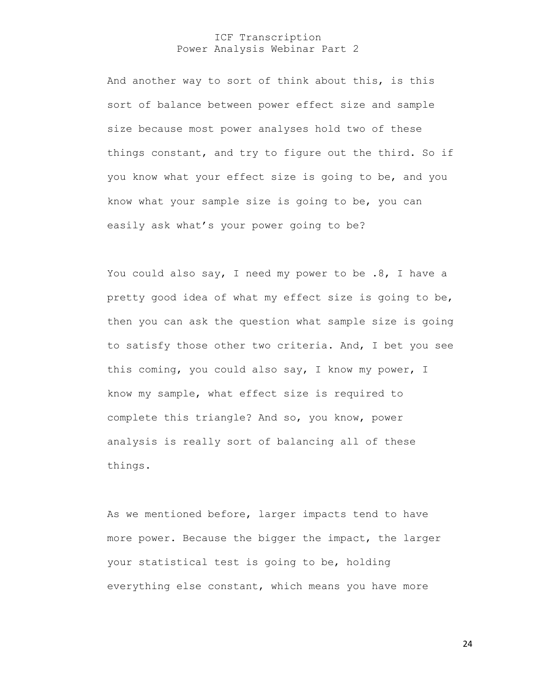And another way to sort of think about this, is this sort of balance between power effect size and sample size because most power analyses hold two of these things constant, and try to figure out the third. So if you know what your effect size is going to be, and you know what your sample size is going to be, you can easily ask what's your power going to be?

You could also say, I need my power to be .8, I have a pretty good idea of what my effect size is going to be, then you can ask the question what sample size is going to satisfy those other two criteria. And, I bet you see this coming, you could also say, I know my power, I know my sample, what effect size is required to complete this triangle? And so, you know, power analysis is really sort of balancing all of these things.

As we mentioned before, larger impacts tend to have more power. Because the bigger the impact, the larger your statistical test is going to be, holding everything else constant, which means you have more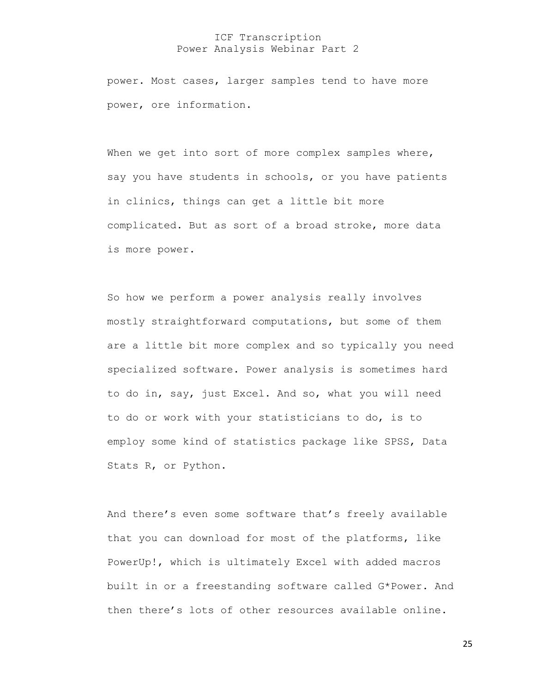power. Most cases, larger samples tend to have more power, ore information.

When we get into sort of more complex samples where, say you have students in schools, or you have patients in clinics, things can get a little bit more complicated. But as sort of a broad stroke, more data is more power.

So how we perform a power analysis really involves mostly straightforward computations, but some of them are a little bit more complex and so typically you need specialized software. Power analysis is sometimes hard to do in, say, just Excel. And so, what you will need to do or work with your statisticians to do, is to employ some kind of statistics package like SPSS, Data Stats R, or Python.

And there's even some software that's freely available that you can download for most of the platforms, like PowerUp!, which is ultimately Excel with added macros built in or a freestanding software called G\*Power. And then there's lots of other resources available online.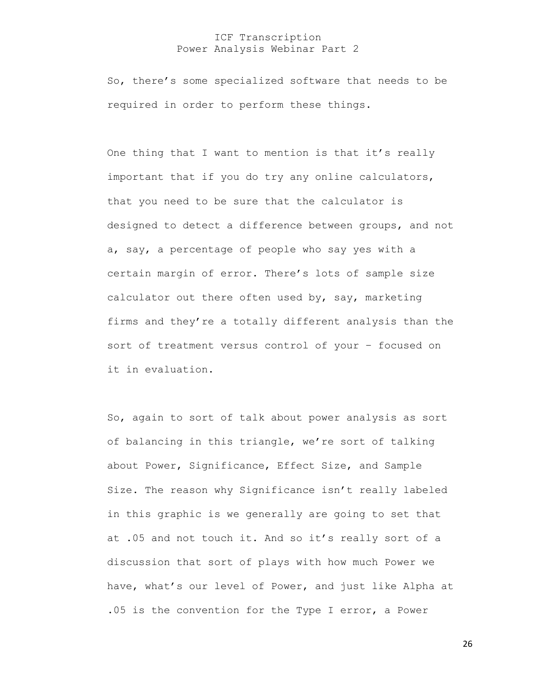So, there's some specialized software that needs to be required in order to perform these things.

One thing that I want to mention is that it's really important that if you do try any online calculators, that you need to be sure that the calculator is designed to detect a difference between groups, and not a, say, a percentage of people who say yes with a certain margin of error. There's lots of sample size calculator out there often used by, say, marketing firms and they're a totally different analysis than the sort of treatment versus control of your – focused on it in evaluation.

So, again to sort of talk about power analysis as sort of balancing in this triangle, we're sort of talking about Power, Significance, Effect Size, and Sample Size. The reason why Significance isn't really labeled in this graphic is we generally are going to set that at .05 and not touch it. And so it's really sort of a discussion that sort of plays with how much Power we have, what's our level of Power, and just like Alpha at .05 is the convention for the Type I error, a Power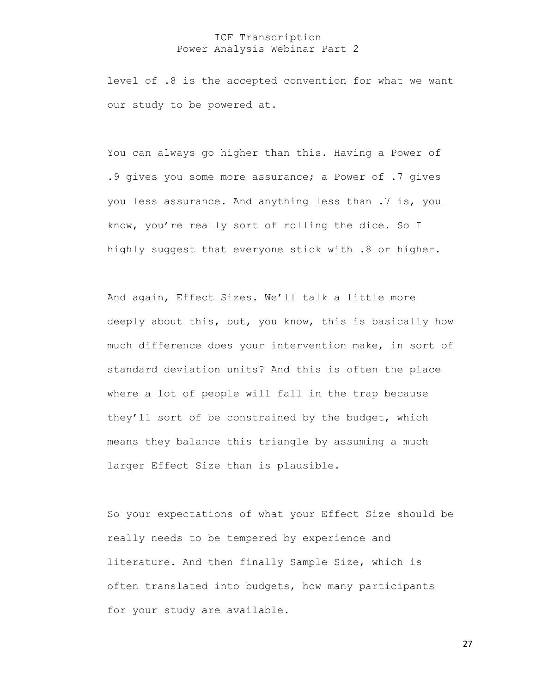level of .8 is the accepted convention for what we want our study to be powered at.

You can always go higher than this. Having a Power of .9 gives you some more assurance; a Power of .7 gives you less assurance. And anything less than .7 is, you know, you're really sort of rolling the dice. So I highly suggest that everyone stick with .8 or higher.

And again, Effect Sizes. We'll talk a little more deeply about this, but, you know, this is basically how much difference does your intervention make, in sort of standard deviation units? And this is often the place where a lot of people will fall in the trap because they'll sort of be constrained by the budget, which means they balance this triangle by assuming a much larger Effect Size than is plausible.

So your expectations of what your Effect Size should be really needs to be tempered by experience and literature. And then finally Sample Size, which is often translated into budgets, how many participants for your study are available.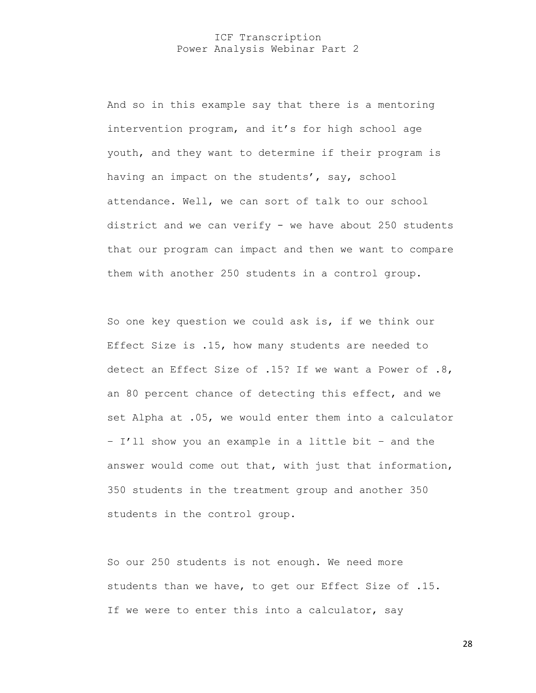And so in this example say that there is a mentoring intervention program, and it's for high school age youth, and they want to determine if their program is having an impact on the students', say, school attendance. Well, we can sort of talk to our school district and we can verify - we have about 250 students that our program can impact and then we want to compare them with another 250 students in a control group.

So one key question we could ask is, if we think our Effect Size is .15, how many students are needed to detect an Effect Size of .15? If we want a Power of .8, an 80 percent chance of detecting this effect, and we set Alpha at .05, we would enter them into a calculator – I'll show you an example in a little bit – and the answer would come out that, with just that information, 350 students in the treatment group and another 350 students in the control group.

So our 250 students is not enough. We need more students than we have, to get our Effect Size of .15. If we were to enter this into a calculator, say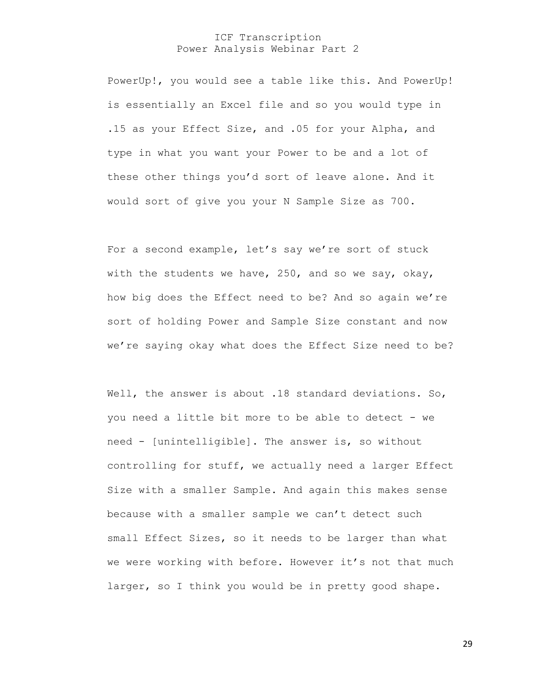PowerUp!, you would see a table like this. And PowerUp! is essentially an Excel file and so you would type in .15 as your Effect Size, and .05 for your Alpha, and type in what you want your Power to be and a lot of these other things you'd sort of leave alone. And it would sort of give you your N Sample Size as 700.

For a second example, let's say we're sort of stuck with the students we have, 250, and so we say, okay, how big does the Effect need to be? And so again we're sort of holding Power and Sample Size constant and now we're saying okay what does the Effect Size need to be?

Well, the answer is about .18 standard deviations. So, you need a little bit more to be able to detect - we need - [unintelligible]. The answer is, so without controlling for stuff, we actually need a larger Effect Size with a smaller Sample. And again this makes sense because with a smaller sample we can't detect such small Effect Sizes, so it needs to be larger than what we were working with before. However it's not that much larger, so I think you would be in pretty good shape.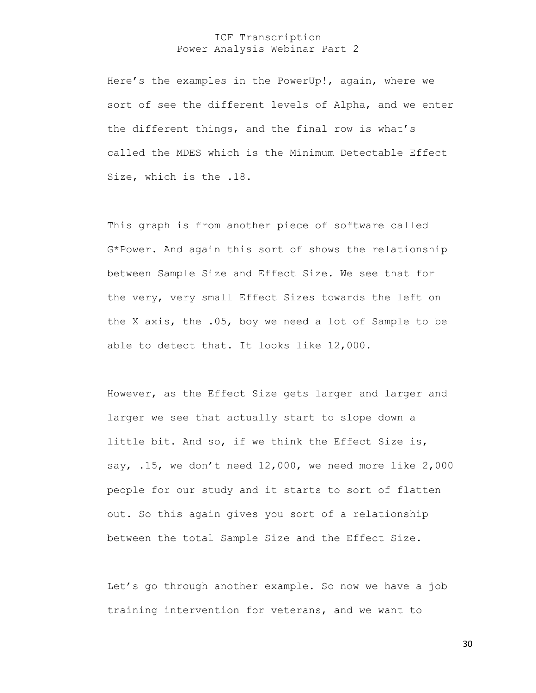Here's the examples in the PowerUp!, again, where we sort of see the different levels of Alpha, and we enter the different things, and the final row is what's called the MDES which is the Minimum Detectable Effect Size, which is the .18.

This graph is from another piece of software called G\*Power. And again this sort of shows the relationship between Sample Size and Effect Size. We see that for the very, very small Effect Sizes towards the left on the X axis, the .05, boy we need a lot of Sample to be able to detect that. It looks like 12,000.

However, as the Effect Size gets larger and larger and larger we see that actually start to slope down a little bit. And so, if we think the Effect Size is, say, .15, we don't need 12,000, we need more like 2,000 people for our study and it starts to sort of flatten out. So this again gives you sort of a relationship between the total Sample Size and the Effect Size.

Let's go through another example. So now we have a job training intervention for veterans, and we want to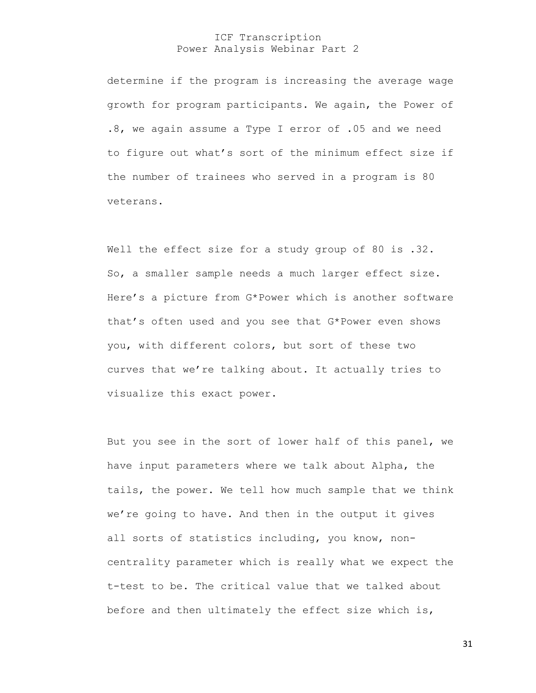determine if the program is increasing the average wage growth for program participants. We again, the Power of .8, we again assume a Type I error of .05 and we need to figure out what's sort of the minimum effect size if the number of trainees who served in a program is 80 veterans.

Well the effect size for a study group of 80 is .32. So, a smaller sample needs a much larger effect size. Here's a picture from G\*Power which is another software that's often used and you see that G\*Power even shows you, with different colors, but sort of these two curves that we're talking about. It actually tries to visualize this exact power.

But you see in the sort of lower half of this panel, we have input parameters where we talk about Alpha, the tails, the power. We tell how much sample that we think we're going to have. And then in the output it gives all sorts of statistics including, you know, noncentrality parameter which is really what we expect the t-test to be. The critical value that we talked about before and then ultimately the effect size which is,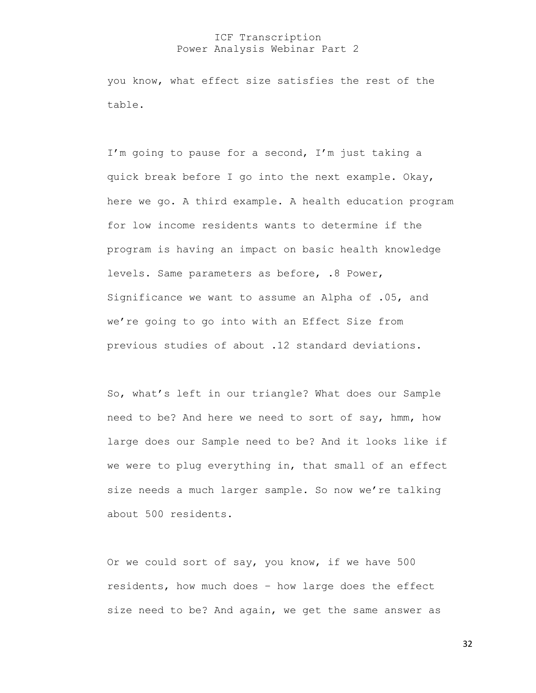you know, what effect size satisfies the rest of the table.

I'm going to pause for a second, I'm just taking a quick break before I go into the next example. Okay, here we go. A third example. A health education program for low income residents wants to determine if the program is having an impact on basic health knowledge levels. Same parameters as before, .8 Power, Significance we want to assume an Alpha of .05, and we're going to go into with an Effect Size from previous studies of about .12 standard deviations.

So, what's left in our triangle? What does our Sample need to be? And here we need to sort of say, hmm, how large does our Sample need to be? And it looks like if we were to plug everything in, that small of an effect size needs a much larger sample. So now we're talking about 500 residents.

Or we could sort of say, you know, if we have 500 residents, how much does – how large does the effect size need to be? And again, we get the same answer as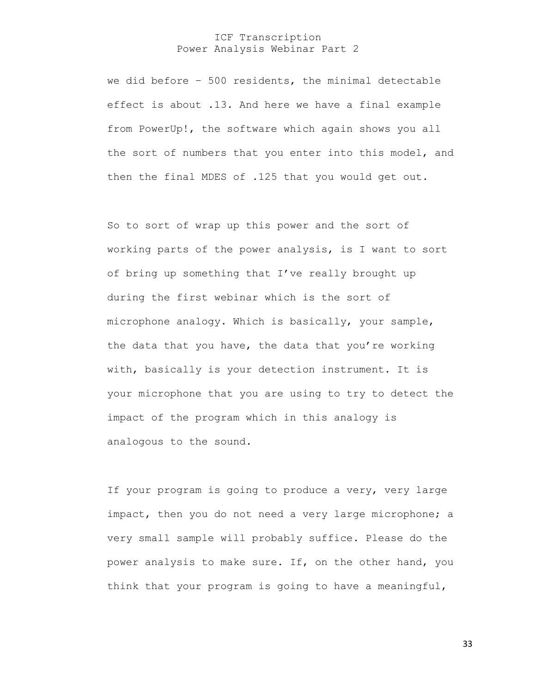we did before – 500 residents, the minimal detectable effect is about .13. And here we have a final example from PowerUp!, the software which again shows you all the sort of numbers that you enter into this model, and then the final MDES of .125 that you would get out.

So to sort of wrap up this power and the sort of working parts of the power analysis, is I want to sort of bring up something that I've really brought up during the first webinar which is the sort of microphone analogy. Which is basically, your sample, the data that you have, the data that you're working with, basically is your detection instrument. It is your microphone that you are using to try to detect the impact of the program which in this analogy is analogous to the sound.

If your program is going to produce a very, very large impact, then you do not need a very large microphone; a very small sample will probably suffice. Please do the power analysis to make sure. If, on the other hand, you think that your program is going to have a meaningful,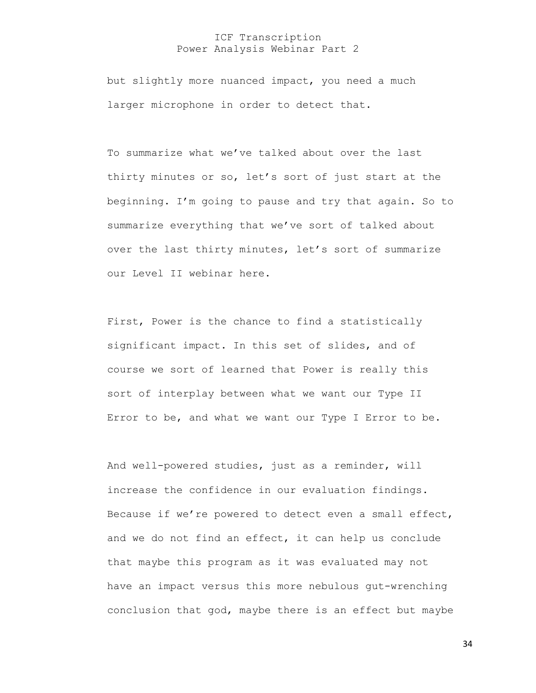but slightly more nuanced impact, you need a much larger microphone in order to detect that.

To summarize what we've talked about over the last thirty minutes or so, let's sort of just start at the beginning. I'm going to pause and try that again. So to summarize everything that we've sort of talked about over the last thirty minutes, let's sort of summarize our Level II webinar here.

First, Power is the chance to find a statistically significant impact. In this set of slides, and of course we sort of learned that Power is really this sort of interplay between what we want our Type II Error to be, and what we want our Type I Error to be.

And well-powered studies, just as a reminder, will increase the confidence in our evaluation findings. Because if we're powered to detect even a small effect, and we do not find an effect, it can help us conclude that maybe this program as it was evaluated may not have an impact versus this more nebulous gut-wrenching conclusion that god, maybe there is an effect but maybe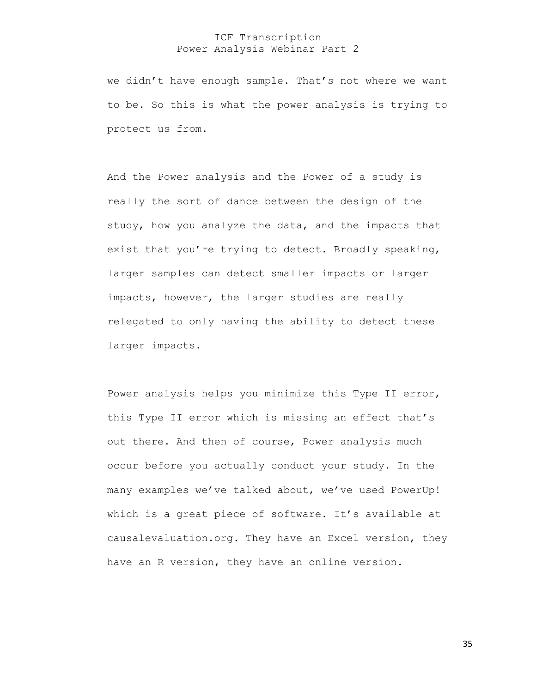we didn't have enough sample. That's not where we want to be. So this is what the power analysis is trying to protect us from.

And the Power analysis and the Power of a study is really the sort of dance between the design of the study, how you analyze the data, and the impacts that exist that you're trying to detect. Broadly speaking, larger samples can detect smaller impacts or larger impacts, however, the larger studies are really relegated to only having the ability to detect these larger impacts.

Power analysis helps you minimize this Type II error, this Type II error which is missing an effect that's out there. And then of course, Power analysis much occur before you actually conduct your study. In the many examples we've talked about, we've used PowerUp! which is a great piece of software. It's available at causalevaluation.org. They have an Excel version, they have an R version, they have an online version.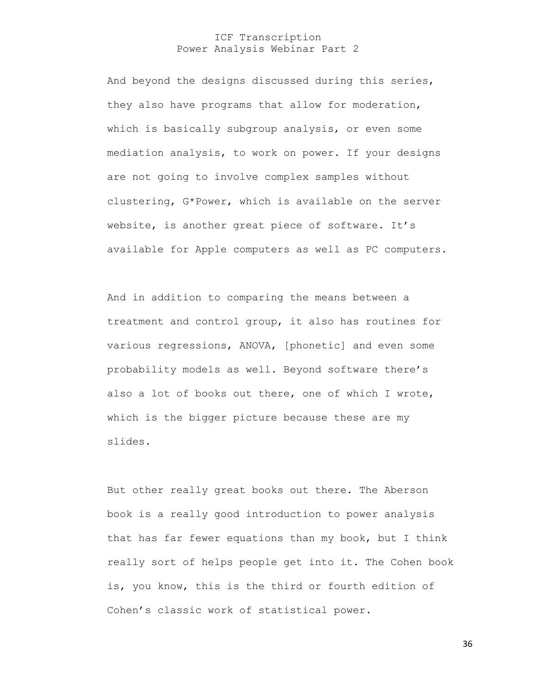And beyond the designs discussed during this series, they also have programs that allow for moderation, which is basically subgroup analysis, or even some mediation analysis, to work on power. If your designs are not going to involve complex samples without clustering, G\*Power, which is available on the server website, is another great piece of software. It's available for Apple computers as well as PC computers.

And in addition to comparing the means between a treatment and control group, it also has routines for various regressions, ANOVA, [phonetic] and even some probability models as well. Beyond software there's also a lot of books out there, one of which I wrote, which is the bigger picture because these are my slides.

But other really great books out there. The Aberson book is a really good introduction to power analysis that has far fewer equations than my book, but I think really sort of helps people get into it. The Cohen book is, you know, this is the third or fourth edition of Cohen's classic work of statistical power.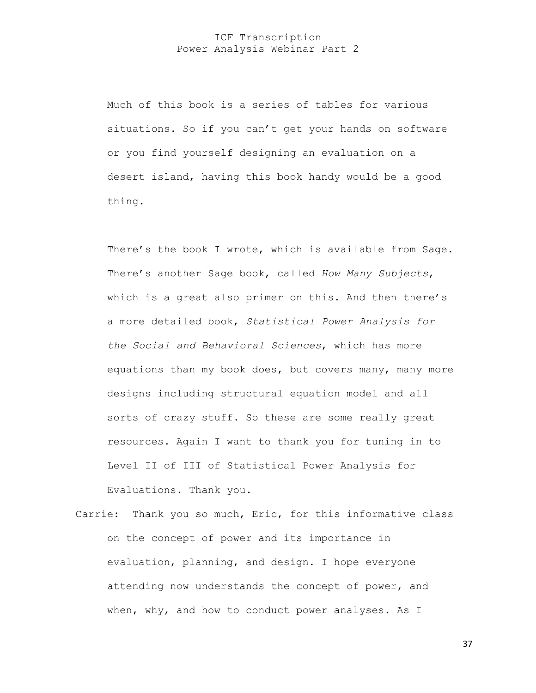Much of this book is a series of tables for various situations. So if you can't get your hands on software or you find yourself designing an evaluation on a desert island, having this book handy would be a good thing.

There's the book I wrote, which is available from Sage. There's another Sage book, called *How Many Subjects*, which is a great also primer on this. And then there's a more detailed book, *Statistical Power Analysis for the Social and Behavioral Sciences*, which has more equations than my book does, but covers many, many more designs including structural equation model and all sorts of crazy stuff. So these are some really great resources. Again I want to thank you for tuning in to Level II of III of Statistical Power Analysis for Evaluations. Thank you.

Carrie: Thank you so much, Eric, for this informative class on the concept of power and its importance in evaluation, planning, and design. I hope everyone attending now understands the concept of power, and when, why, and how to conduct power analyses. As I